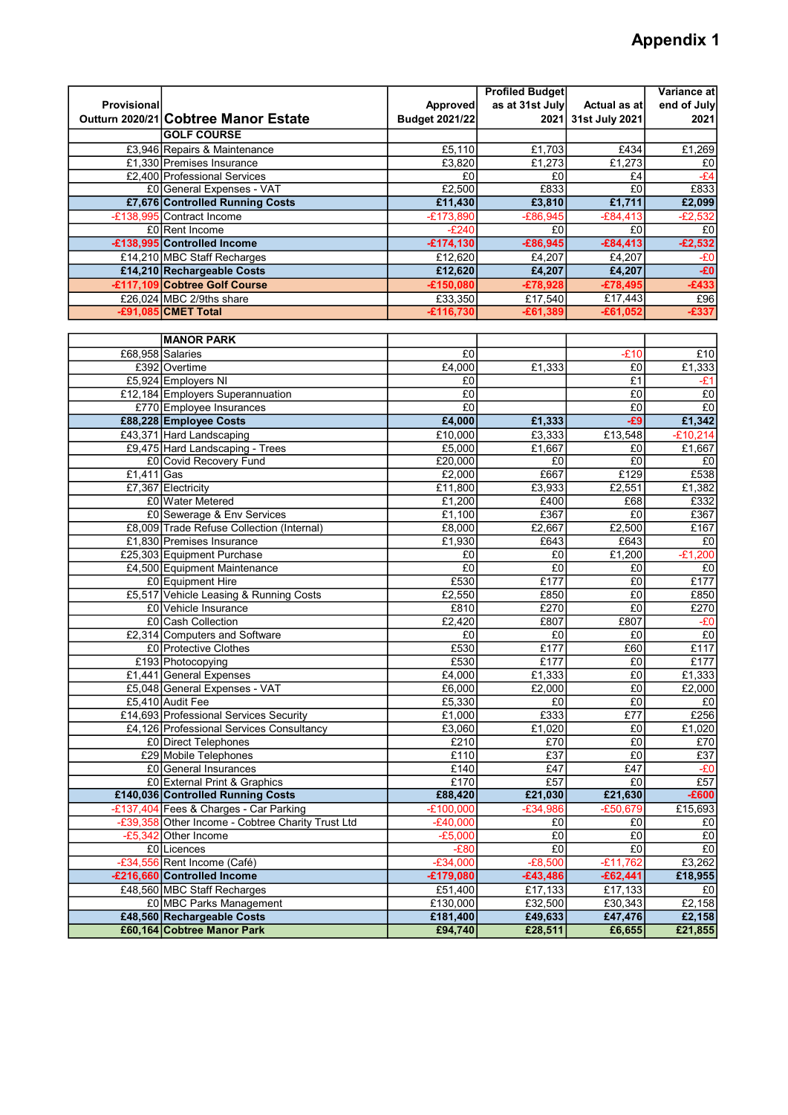## Appendix 1

|                    |                                                                |                       | <b>Profiled Budget</b> |                      | Variance at    |
|--------------------|----------------------------------------------------------------|-----------------------|------------------------|----------------------|----------------|
| <b>Provisional</b> |                                                                | Approved              | as at 31st July        | Actual as at         | end of July    |
|                    | Outturn 2020/21 Cobtree Manor Estate                           | <b>Budget 2021/22</b> | 2021                   | 31st July 2021       | 2021           |
|                    | <b>GOLF COURSE</b>                                             |                       |                        |                      |                |
|                    | £3,946 Repairs & Maintenance                                   | £5,110                | £1,703                 | £434                 | £1,269         |
|                    | £1,330 Premises Insurance                                      | E3,820                | £1,273                 | £1,273               | £0             |
|                    | £2,400 Professional Services                                   | £0                    | £0                     | £4                   | $-E4$          |
|                    | £0 General Expenses - VAT                                      | £2,500                | £833                   | E0                   | £833           |
|                    | £7,676 Controlled Running Costs                                | £11,430               | £3,810                 | £1,711               | £2,099         |
|                    | -£138,995 Contract Income                                      | $-£173,890$           | $-£86,945$             | $-£84,413$           | $-£2,532$      |
|                    | £0 Rent Income                                                 | $-E240$               | £0                     | £0                   | E <sub>0</sub> |
|                    | -£138,995 Controlled Income                                    | $-£174,130$           | $-£86,945$             | $-£84,413$           | $-£2,532$      |
|                    | £14,210 MBC Staff Recharges                                    | £12,620               | £4,207                 | £4,207               | -£0            |
|                    | £14,210 Rechargeable Costs                                     | £12,620               | £4,207                 | £4,207               | $-E0$          |
|                    | -£117,109 Cobtree Golf Course                                  | $-£150,080$           | $-£78,928$             | $-£78,495$           | $-£433$        |
|                    | £26,024 MBC 2/9ths share                                       | £33,350               | £17,540                | £17,443              | £96            |
|                    | E91,085 CMET Total                                             | £116,730              | £61,389                | £61,052-             | £337           |
|                    |                                                                |                       |                        |                      |                |
|                    | <b>MANOR PARK</b>                                              |                       |                        |                      |                |
|                    | £68,958 Salaries                                               | £0                    |                        | $-E10$               | £10            |
|                    | £392 Overtime                                                  | £4,000                | £1,333                 | £0                   | E1,333         |
|                    | £5,924 Employers NI                                            | £0                    |                        | £1                   | -£1            |
|                    | £12,184 Employers Superannuation                               | £0                    |                        | £0                   | $E_0$          |
|                    | £770 Employee Insurances                                       | E <sub>0</sub>        |                        | E <sub>0</sub>       | E <sub>0</sub> |
|                    | £88,228 Employee Costs                                         | £4,000                | £1,333                 | $-E9$                | £1,342         |
|                    | £43,371 Hard Landscaping                                       | £10,000               | £3,333                 | £13,548              | $-E10,214$     |
|                    | £9,475 Hard Landscaping - Trees                                | £5,000                | £1,667                 | £0                   | £1,667         |
|                    | £0 Covid Recovery Fund                                         | £20,000               | £0                     | E <sub>0</sub>       | £0             |
| £1,411 Gas         |                                                                | £2,000                | £667                   | £129                 | £538           |
|                    | £7,367 Electricity                                             | £11,800               | £3,933                 | £2,551               | £1,382         |
|                    | £0 Water Metered                                               | £1,200                | £400                   | £68                  | £332           |
|                    | £0 Sewerage & Env Services                                     | £1,100                | £367                   | £0                   | £367           |
|                    | £8,009 Trade Refuse Collection (Internal)                      | £8,000                | £2,667                 | £2,500               | £167           |
|                    | £1,830 Premises Insurance                                      | £1,930                | £643                   | £643                 | £0             |
|                    | £25,303 Equipment Purchase                                     | £0                    | £0                     | £1,200               | $-E1,200$      |
|                    | £4,500 Equipment Maintenance                                   | £0<br>£530            | £0<br>E177             | £0<br>E <sub>0</sub> | £0             |
|                    | £0 Equipment Hire                                              | £2,550                | £850                   | £0                   | £177<br>£850   |
|                    | £5,517 Vehicle Leasing & Running Costs<br>£0 Vehicle Insurance | £810                  | £270                   | £0                   | £270           |
|                    | £0 Cash Collection                                             | £2,420                | £807                   | £807                 | $-E0$          |
|                    | £2,314 Computers and Software                                  | £0                    | £0                     | £0                   | £0             |
|                    | £0 Protective Clothes                                          | £530                  | £177                   | £60                  | £117           |
|                    | £193 Photocopying                                              | £530                  | £177                   | £0                   | £177           |
|                    | £1,441 General Expenses                                        | £4,000                | £1,333                 | $E_0$                | £1,333         |
|                    | £5,048 General Expenses - VAT                                  | £6,000                | £2,000                 | E0                   | £2,000         |
|                    | £5,410 Audit Fee                                               | £5,330                | £0                     | $E_0$                | E <sub>0</sub> |
|                    | £14,693 Professional Services Security                         | £1,000                | £333                   | E77                  | £256           |
|                    | £4,126 Professional Services Consultancy                       | £3,060                | £1,020                 | E <sub>0</sub>       | £1,020         |
|                    | £0 Direct Telephones                                           | £210                  | £70                    | £0                   | £70            |
|                    | £29 Mobile Telephones                                          | £110                  | £37                    | E0                   | E37            |
|                    | £0 General Insurances                                          | £140                  | £47                    | £47                  | $-E0$          |
|                    | £0 External Print & Graphics                                   | £170                  | £57                    | £0                   | £57            |
|                    | £140,036 Controlled Running Costs                              | £88,420               | £21,030                | £21,630              | $-£600$        |
|                    | -£137,404 Fees & Charges - Car Parking                         | $-£100,000$           | $-£34,986$             | $-£50,679$           | £15,693        |
|                    | -£39,358 Other Income - Cobtree Charity Trust Ltd              | $-E40,000$            | £0                     | £0                   | £0             |
|                    | $-E5,342$ Other Income                                         | $-£5,000$             | £0                     | £0                   | $E_0$          |
|                    | £0 Licences                                                    | $-E80$                | £0                     | £0                   | £0             |
|                    | -£34,556 Rent Income (Café)                                    | $-£34,000$            | $-E8,500$              | $-£11,762$           | E3,262         |
|                    | -£216,660 Controlled Income                                    | -£179,080             | $-£43,486$             | $-£62,441$           | £18,955        |
|                    | £48,560 MBC Staff Recharges                                    | £51,400               | £17,133                | £17,133              | £0             |
|                    | £0 MBC Parks Management                                        | £130,000              | £32,500                | £30,343              | £2,158         |
|                    | £48,560 Rechargeable Costs                                     | £181,400              | £49,633                | £47,476              | £2,158         |
|                    | £60,164 Cobtree Manor Park                                     | £94,740               | £28,511                | £6,655               | £21,855        |